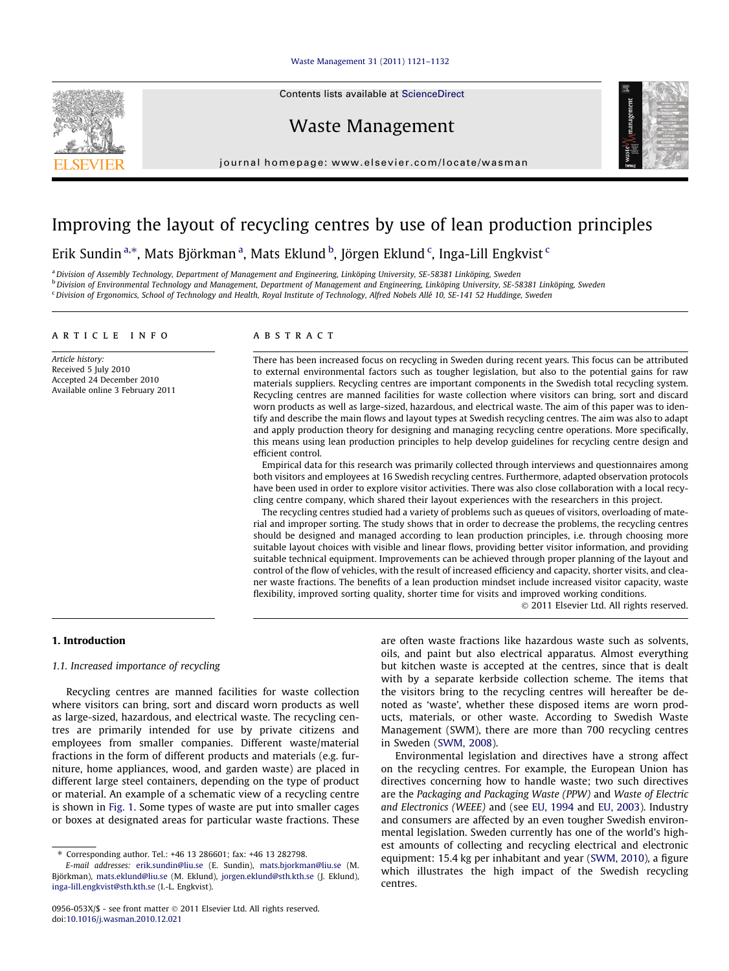#### [Waste Management 31 \(2011\) 1121–1132](http://dx.doi.org/10.1016/j.wasman.2010.12.021)



Waste Management



## Improving the layout of recycling centres by use of lean production principles

Erik Sundin $^{\mathrm{a},\mathrm{*}}$ , Mats Björkman $^{\mathrm{a}}$ , Mats Eklund $^{\mathrm{b}}$ , Jörgen Eklund $^{\mathrm{c}}$ , Inga-Lill Engkvist $^{\mathrm{c}}$ 

a Division of Assembly Technology, Department of Management and Engineering, Linköping University, SE-58381 Linköping, Sweden <sup>b</sup> Division of Environmental Technology and Management, Department of Management and Engineering, Linköping University, SE-58381 Linköping, Sweden <sup>c</sup> Division of Ergonomics, School of Technology and Health, Royal Institute of Technology, Alfred Nobels Allé 10, SE-141 52 Huddinge, Sweden

#### article info

Article history: Received 5 July 2010 Accepted 24 December 2010 Available online 3 February 2011

#### ABSTRACT

There has been increased focus on recycling in Sweden during recent years. This focus can be attributed to external environmental factors such as tougher legislation, but also to the potential gains for raw materials suppliers. Recycling centres are important components in the Swedish total recycling system. Recycling centres are manned facilities for waste collection where visitors can bring, sort and discard worn products as well as large-sized, hazardous, and electrical waste. The aim of this paper was to identify and describe the main flows and layout types at Swedish recycling centres. The aim was also to adapt and apply production theory for designing and managing recycling centre operations. More specifically, this means using lean production principles to help develop guidelines for recycling centre design and efficient control.

Empirical data for this research was primarily collected through interviews and questionnaires among both visitors and employees at 16 Swedish recycling centres. Furthermore, adapted observation protocols have been used in order to explore visitor activities. There was also close collaboration with a local recycling centre company, which shared their layout experiences with the researchers in this project.

The recycling centres studied had a variety of problems such as queues of visitors, overloading of material and improper sorting. The study shows that in order to decrease the problems, the recycling centres should be designed and managed according to lean production principles, i.e. through choosing more suitable layout choices with visible and linear flows, providing better visitor information, and providing suitable technical equipment. Improvements can be achieved through proper planning of the layout and control of the flow of vehicles, with the result of increased efficiency and capacity, shorter visits, and cleaner waste fractions. The benefits of a lean production mindset include increased visitor capacity, waste flexibility, improved sorting quality, shorter time for visits and improved working conditions.

- 2011 Elsevier Ltd. All rights reserved.

### 1. Introduction

1.1. Increased importance of recycling

Recycling centres are manned facilities for waste collection where visitors can bring, sort and discard worn products as well as large-sized, hazardous, and electrical waste. The recycling centres are primarily intended for use by private citizens and employees from smaller companies. Different waste/material fractions in the form of different products and materials (e.g. furniture, home appliances, wood, and garden waste) are placed in different large steel containers, depending on the type of product or material. An example of a schematic view of a recycling centre is shown in [Fig. 1](#page-1-0). Some types of waste are put into smaller cages or boxes at designated areas for particular waste fractions. These

⇑ Corresponding author. Tel.: +46 13 286601; fax: +46 13 282798.

are often waste fractions like hazardous waste such as solvents, oils, and paint but also electrical apparatus. Almost everything but kitchen waste is accepted at the centres, since that is dealt with by a separate kerbside collection scheme. The items that the visitors bring to the recycling centres will hereafter be denoted as 'waste', whether these disposed items are worn products, materials, or other waste. According to Swedish Waste Management (SWM), there are more than 700 recycling centres in Sweden ([SWM, 2008](#page--1-0)).

Environmental legislation and directives have a strong affect on the recycling centres. For example, the European Union has directives concerning how to handle waste; two such directives are the Packaging and Packaging Waste (PPW) and Waste of Electric and Electronics (WEEE) and (see [EU, 1994](#page--1-0) and [EU, 2003\)](#page--1-0). Industry and consumers are affected by an even tougher Swedish environmental legislation. Sweden currently has one of the world's highest amounts of collecting and recycling electrical and electronic equipment: 15.4 kg per inhabitant and year ([SWM, 2010](#page--1-0)), a figure which illustrates the high impact of the Swedish recycling centres.



E-mail addresses: [erik.sundin@liu.se](mailto:erik.sundin@liu.se) (E. Sundin), [mats.bjorkman@liu.se](mailto:mats.bjorkman@liu.se) (M. Björkman), [mats.eklund@liu.se](mailto:mats.eklund@liu.se) (M. Eklund), [jorgen.eklund@sth.kth.se](mailto:jorgen.eklund@sth.kth.se) (J. Eklund), [inga-lill.engkvist@sth.kth.se](mailto:inga-lill.engkvist@sth.kth.se) (I.-L. Engkvist).

<sup>0956-053</sup>X/\$ - see front matter © 2011 Elsevier Ltd. All rights reserved. doi[:10.1016/j.wasman.2010.12.021](http://dx.doi.org/10.1016/j.wasman.2010.12.021)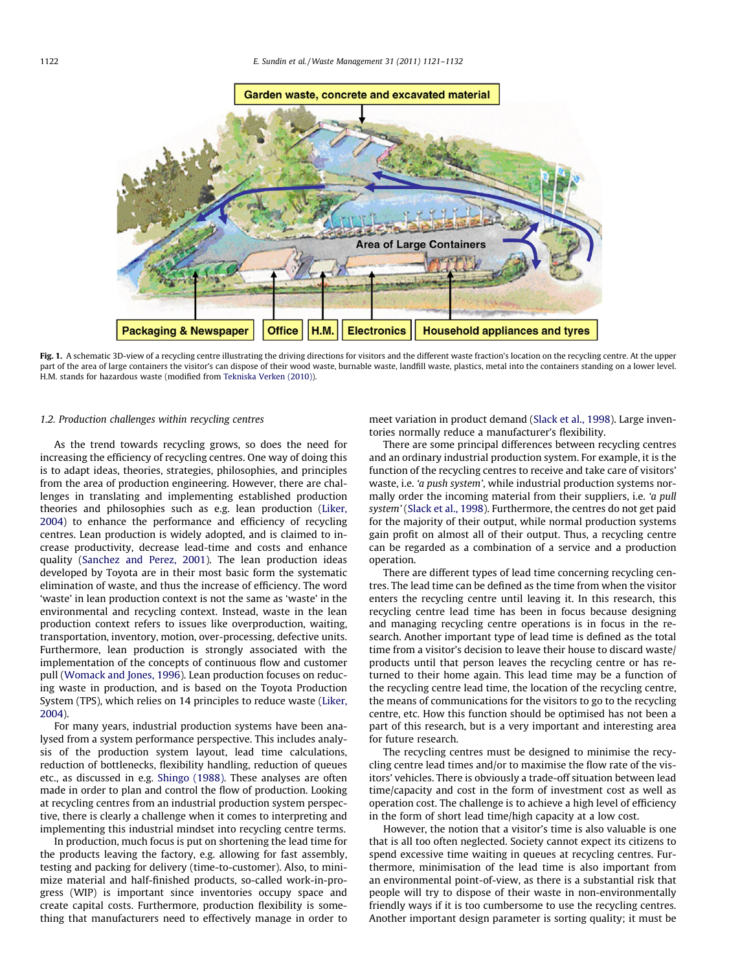<span id="page-1-0"></span>

Fig. 1. A schematic 3D-view of a recycling centre illustrating the driving directions for visitors and the different waste fraction's location on the recycling centre. At the upper part of the area of large containers the visitor's can dispose of their wood waste, burnable waste, landfill waste, plastics, metal into the containers standing on a lower level. H.M. stands for hazardous waste (modified from [Tekniska Verken \(2010\)](#page--1-0)).

#### 1.2. Production challenges within recycling centres

As the trend towards recycling grows, so does the need for increasing the efficiency of recycling centres. One way of doing this is to adapt ideas, theories, strategies, philosophies, and principles from the area of production engineering. However, there are challenges in translating and implementing established production theories and philosophies such as e.g. lean production [\(Liker,](#page--1-0) [2004\)](#page--1-0) to enhance the performance and efficiency of recycling centres. Lean production is widely adopted, and is claimed to increase productivity, decrease lead-time and costs and enhance quality [\(Sanchez and Perez, 2001](#page--1-0)). The lean production ideas developed by Toyota are in their most basic form the systematic elimination of waste, and thus the increase of efficiency. The word 'waste' in lean production context is not the same as 'waste' in the environmental and recycling context. Instead, waste in the lean production context refers to issues like overproduction, waiting, transportation, inventory, motion, over-processing, defective units. Furthermore, lean production is strongly associated with the implementation of the concepts of continuous flow and customer pull ([Womack and Jones, 1996](#page--1-0)). Lean production focuses on reducing waste in production, and is based on the Toyota Production System (TPS), which relies on 14 principles to reduce waste [\(Liker,](#page--1-0) [2004\)](#page--1-0).

For many years, industrial production systems have been analysed from a system performance perspective. This includes analysis of the production system layout, lead time calculations, reduction of bottlenecks, flexibility handling, reduction of queues etc., as discussed in e.g. [Shingo \(1988\)](#page--1-0). These analyses are often made in order to plan and control the flow of production. Looking at recycling centres from an industrial production system perspective, there is clearly a challenge when it comes to interpreting and implementing this industrial mindset into recycling centre terms.

In production, much focus is put on shortening the lead time for the products leaving the factory, e.g. allowing for fast assembly, testing and packing for delivery (time-to-customer). Also, to minimize material and half-finished products, so-called work-in-progress (WIP) is important since inventories occupy space and create capital costs. Furthermore, production flexibility is something that manufacturers need to effectively manage in order to meet variation in product demand [\(Slack et al., 1998\)](#page--1-0). Large inventories normally reduce a manufacturer's flexibility.

There are some principal differences between recycling centres and an ordinary industrial production system. For example, it is the function of the recycling centres to receive and take care of visitors' waste, i.e. 'a push system', while industrial production systems normally order the incoming material from their suppliers, i.e. 'a pull system' [\(Slack et al., 1998](#page--1-0)). Furthermore, the centres do not get paid for the majority of their output, while normal production systems gain profit on almost all of their output. Thus, a recycling centre can be regarded as a combination of a service and a production operation.

There are different types of lead time concerning recycling centres. The lead time can be defined as the time from when the visitor enters the recycling centre until leaving it. In this research, this recycling centre lead time has been in focus because designing and managing recycling centre operations is in focus in the research. Another important type of lead time is defined as the total time from a visitor's decision to leave their house to discard waste/ products until that person leaves the recycling centre or has returned to their home again. This lead time may be a function of the recycling centre lead time, the location of the recycling centre, the means of communications for the visitors to go to the recycling centre, etc. How this function should be optimised has not been a part of this research, but is a very important and interesting area for future research.

The recycling centres must be designed to minimise the recycling centre lead times and/or to maximise the flow rate of the visitors' vehicles. There is obviously a trade-off situation between lead time/capacity and cost in the form of investment cost as well as operation cost. The challenge is to achieve a high level of efficiency in the form of short lead time/high capacity at a low cost.

However, the notion that a visitor's time is also valuable is one that is all too often neglected. Society cannot expect its citizens to spend excessive time waiting in queues at recycling centres. Furthermore, minimisation of the lead time is also important from an environmental point-of-view, as there is a substantial risk that people will try to dispose of their waste in non-environmentally friendly ways if it is too cumbersome to use the recycling centres. Another important design parameter is sorting quality; it must be